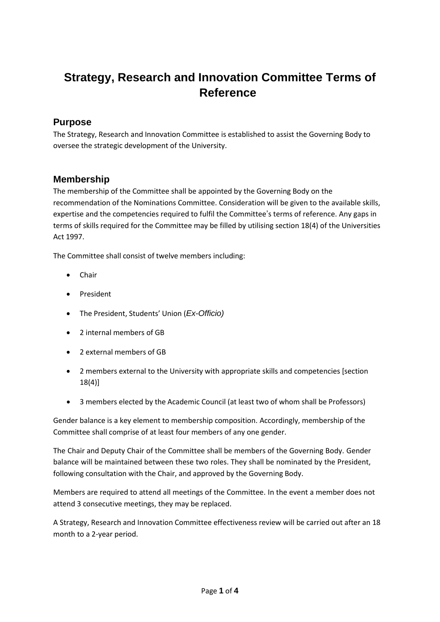# **Strategy, Research and Innovation Committee Terms of Reference**

#### **Purpose**

The Strategy, Research and Innovation Committee is established to assist the Governing Body to oversee the strategic development of the University.

### **Membership**

The membership of the Committee shall be appointed by the Governing Body on the recommendation of the Nominations Committee. Consideration will be given to the available skills, expertise and the competencies required to fulfil the Committee's terms of reference. Any gaps in terms of skills required for the Committee may be filled by utilising section 18(4) of the Universities Act 1997.

The Committee shall consist of twelve members including:

- Chair
- President
- The President, Students' Union (*Ex-Officio)*
- 2 internal members of GB
- 2 external members of GB
- 2 members external to the University with appropriate skills and competencies [section 18(4)]
- 3 members elected by the Academic Council (at least two of whom shall be Professors)

Gender balance is a key element to membership composition. Accordingly, membership of the Committee shall comprise of at least four members of any one gender.

The Chair and Deputy Chair of the Committee shall be members of the Governing Body. Gender balance will be maintained between these two roles. They shall be nominated by the President, following consultation with the Chair, and approved by the Governing Body.

Members are required to attend all meetings of the Committee. In the event a member does not attend 3 consecutive meetings, they may be replaced.

A Strategy, Research and Innovation Committee effectiveness review will be carried out after an 18 month to a 2-year period.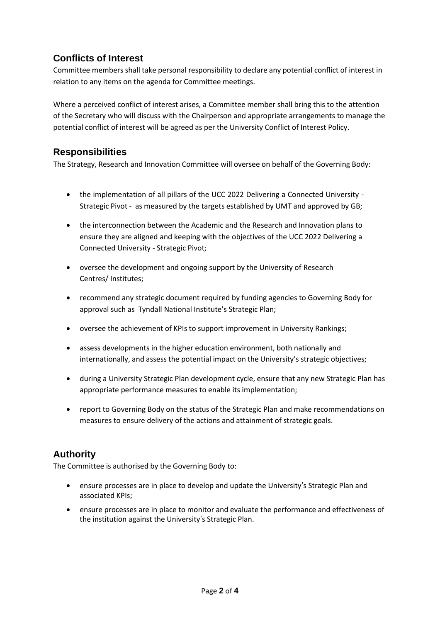# **Conflicts of Interest**

Committee members shall take personal responsibility to declare any potential conflict of interest in relation to any items on the agenda for Committee meetings.

Where a perceived conflict of interest arises, a Committee member shall bring this to the attention of the Secretary who will discuss with the Chairperson and appropriate arrangements to manage the potential conflict of interest will be agreed as per the University Conflict of Interest Policy.

## **Responsibilities**

The Strategy, Research and Innovation Committee will oversee on behalf of the Governing Body:

- the implementation of all pillars of the UCC 2022 Delivering a Connected University Strategic Pivot - as measured by the targets established by UMT and approved by GB;
- the interconnection between the Academic and the Research and Innovation plans to ensure they are aligned and keeping with the objectives of the UCC 2022 Delivering a Connected University - Strategic Pivot;
- oversee the development and ongoing support by the University of Research Centres/ Institutes;
- recommend any strategic document required by funding agencies to Governing Body for approval such as Tyndall National Institute's Strategic Plan;
- oversee the achievement of KPIs to support improvement in University Rankings;
- assess developments in the higher education environment, both nationally and internationally, and assess the potential impact on the University's strategic objectives;
- during a University Strategic Plan development cycle, ensure that any new Strategic Plan has appropriate performance measures to enable its implementation;
- report to Governing Body on the status of the Strategic Plan and make recommendations on measures to ensure delivery of the actions and attainment of strategic goals.

# **Authority**

The Committee is authorised by the Governing Body to:

- ensure processes are in place to develop and update the University's Strategic Plan and associated KPIs;
- ensure processes are in place to monitor and evaluate the performance and effectiveness of the institution against the University's Strategic Plan.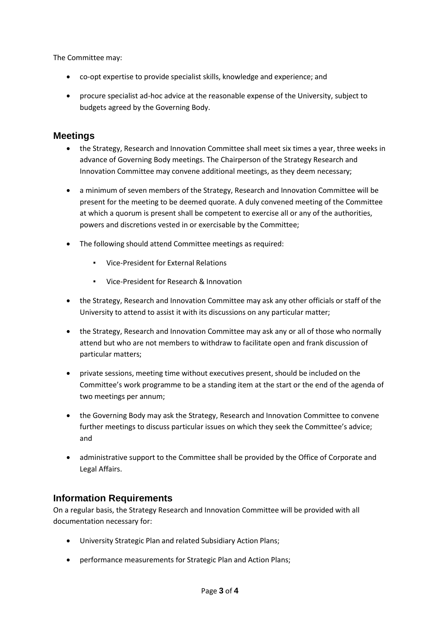The Committee may:

- co-opt expertise to provide specialist skills, knowledge and experience; and
- procure specialist ad-hoc advice at the reasonable expense of the University, subject to budgets agreed by the Governing Body.

#### **Meetings**

- the Strategy, Research and Innovation Committee shall meet six times a year, three weeks in advance of Governing Body meetings. The Chairperson of the Strategy Research and Innovation Committee may convene additional meetings, as they deem necessary;
- a minimum of seven members of the Strategy, Research and Innovation Committee will be present for the meeting to be deemed quorate. A duly convened meeting of the Committee at which a quorum is present shall be competent to exercise all or any of the authorities, powers and discretions vested in or exercisable by the Committee;
- The following should attend Committee meetings as required:
	- Vice-President for External Relations
	- Vice-President for Research & Innovation
- the Strategy, Research and Innovation Committee may ask any other officials or staff of the University to attend to assist it with its discussions on any particular matter;
- the Strategy, Research and Innovation Committee may ask any or all of those who normally attend but who are not members to withdraw to facilitate open and frank discussion of particular matters;
- private sessions, meeting time without executives present, should be included on the Committee's work programme to be a standing item at the start or the end of the agenda of two meetings per annum;
- the Governing Body may ask the Strategy, Research and Innovation Committee to convene further meetings to discuss particular issues on which they seek the Committee's advice; and
- administrative support to the Committee shall be provided by the Office of Corporate and Legal Affairs.

### **Information Requirements**

On a regular basis, the Strategy Research and Innovation Committee will be provided with all documentation necessary for:

- University Strategic Plan and related Subsidiary Action Plans;
- performance measurements for Strategic Plan and Action Plans;